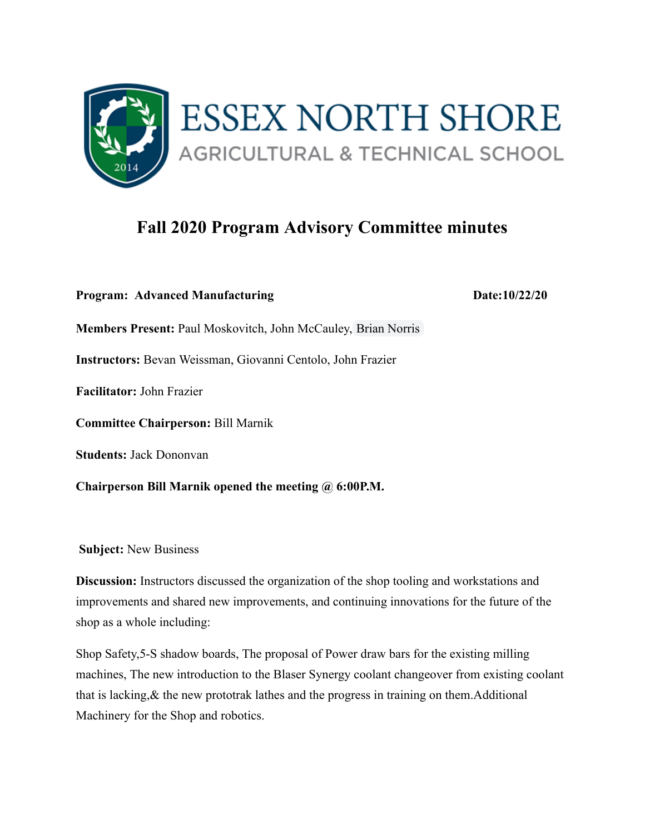

## **Fall 2020 Program Advisory Committee minutes**

**Program: Advanced Manufacturing Date:10/22/20 Members Present:** Paul Moskovitch, John McCauley, Brian Norris **Instructors:** Bevan Weissman, Giovanni Centolo, John Frazier **Facilitator:** John Frazier **Committee Chairperson:** Bill Marnik **Students:** Jack Dononvan

**Chairperson Bill Marnik opened the meeting @ 6:00P.M.** 

 **Subject:** New Business

**Discussion:** Instructors discussed the organization of the shop tooling and workstations and improvements and shared new improvements, and continuing innovations for the future of the shop as a whole including:

Shop Safety,5-S shadow boards, The proposal of Power draw bars for the existing milling machines, The new introduction to the Blaser Synergy coolant changeover from existing coolant that is lacking,& the new prototrak lathes and the progress in training on them.Additional Machinery for the Shop and robotics.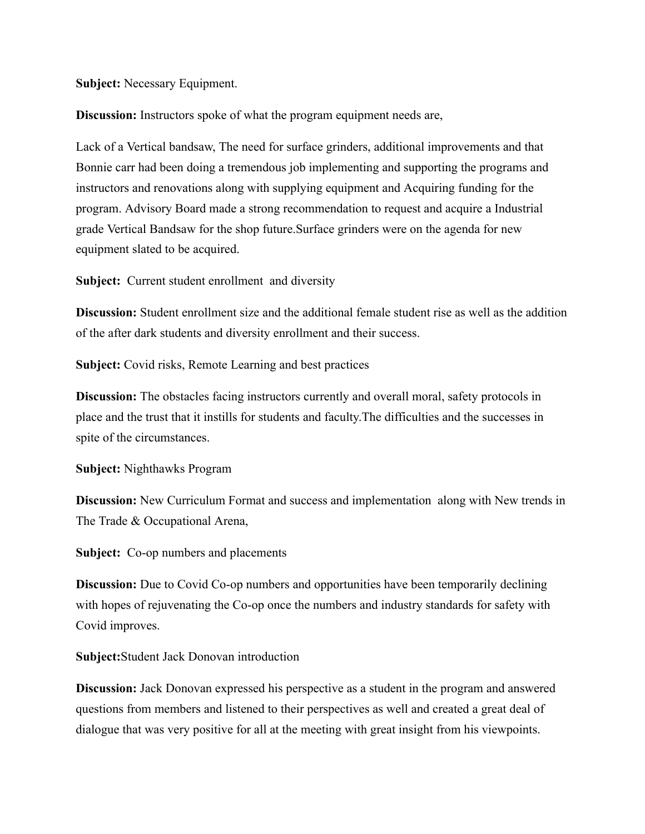**Subject:** Necessary Equipment.

**Discussion:** Instructors spoke of what the program equipment needs are,

Lack of a Vertical bandsaw, The need for surface grinders, additional improvements and that Bonnie carr had been doing a tremendous job implementing and supporting the programs and instructors and renovations along with supplying equipment and Acquiring funding for the program. Advisory Board made a strong recommendation to request and acquire a Industrial grade Vertical Bandsaw for the shop future.Surface grinders were on the agenda for new equipment slated to be acquired.

**Subject:** Current student enrollment and diversity

**Discussion:** Student enrollment size and the additional female student rise as well as the addition of the after dark students and diversity enrollment and their success.

**Subject:** Covid risks, Remote Learning and best practices

**Discussion:** The obstacles facing instructors currently and overall moral, safety protocols in place and the trust that it instills for students and faculty.The difficulties and the successes in spite of the circumstances.

**Subject:** Nighthawks Program

**Discussion:** New Curriculum Format and success and implementation along with New trends in The Trade & Occupational Arena,

**Subject:** Co-op numbers and placements

**Discussion:** Due to Covid Co-op numbers and opportunities have been temporarily declining with hopes of rejuvenating the Co-op once the numbers and industry standards for safety with Covid improves.

**Subject:** Student Jack Donovan introduction

**Discussion:** Jack Donovan expressed his perspective as a student in the program and answered questions from members and listened to their perspectives as well and created a great deal of dialogue that was very positive for all at the meeting with great insight from his viewpoints.